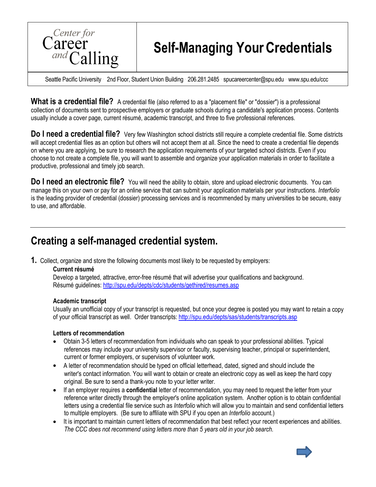

# **Self-Managing YourCredentials**

Seattle Pacific University 2nd Floor, Student Union Building 206.281.2485 ⋅ [spucareercenter@spu.edu](mailto:spucareercenter@spu.edu) ⋅ [www.spu.edu/ccc](http://www.spu.edu/ccc)

**What is a credential file?** A credential file (also referred to as a "placement file" or "dossier") is a professional collection of documents sent to prospective employers or graduate schools during a candidate's application process. Contents usually include a cover page, current résumé, academic transcript, and three to five professional references.

**Do I need a credential file?** Very few Washington school districts still require a complete credential file. Some districts will accept credential files as an option but others will not accept them at all. Since the need to create a credential file depends on where you are applying, be sure to research the application requirements of your targeted school districts. Even if you choose to not create a complete file, you will want to assemble and organize your application materials in order to facilitate a productive, professional and timely job search.

**Do I need an electronic file?** You will need the ability to obtain, store and upload electronic documents. You can manage this on your own or pay for an online service that can submit your application materials per your instructions. *Interfolio*  is the leading provider of credential (dossier) processing services and is recommended by many universities to be secure, easy to use, and affordable.

# **Creating a self-managed credential system.**

**1.** Collect, organize and store the following documents most likely to be requested by employers:

#### **Current résumé**

Develop a targeted, attractive, error-free résumé that will advertise your qualifications and background. Résumé guidelines:<http://spu.edu/depts/cdc/students/gethired/resumes.asp>

#### **Academic transcript**

Usually an unofficial copy of your transcript is requested, but once your degree is posted you may want to retain a copy of your official transcript as well. Order transcripts:<http://spu.edu/depts/sas/students/transcripts.asp>

#### **Letters of recommendation**

- Obtain 3-5 letters of recommendation from individuals who can speak to your professional abilities. Typical references may include your university supervisor or faculty, supervising teacher, principal or superintendent, current or former employers, or supervisors of volunteer work.
- A letter of recommendation should be typed on official letterhead, dated, signed and should include the writer's contact information. You will want to obtain or create an electronic copy as well as keep the hard copy original. Be sure to send a thank-you note to your letter writer.
- If an employer requires a **confidential** letter of recommendation, you may need to request the letter from your reference writer directly through the employer's online application system. Another option is to obtain confidential letters using a credential file service such as *Interfolio* which will allow you to maintain and send confidential letters to multiple employers. (Be sure to affiliate with SPU if you open an *Interfolio* account.)
- It is important to maintain current letters of recommendation that best reflect your recent experiences and abilities. *The CCC does not recommend using letters more than 5 years old in your job search.*